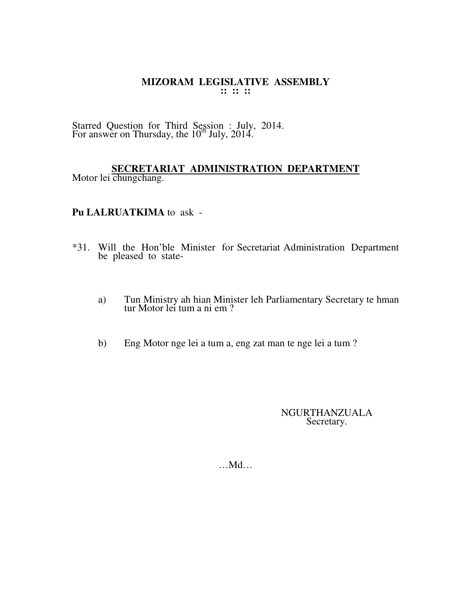Starred Question for Third Session : July, 2014. For answer on Thursday, the  $10^{th}$  July, 2014.

#### **SECRETARIAT ADMINISTRATION DEPARTMENT** Motor lei chungchang.

## **Pu LALRUATKIMA** to ask -

- \*31. Will the Hon'ble Minister for Secretariat Administration Department be pleased to state
	- a) Tun Ministry ah hian Minister leh Parliamentary Secretary te hman tur Motor lei tum a ni em ?
	- b) Eng Motor nge lei a tum a, eng zat man te nge lei a tum ?

NGURTHANZUALA Secretary.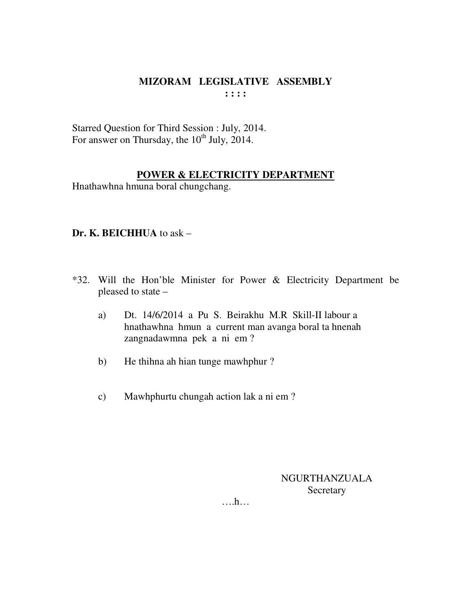Starred Question for Third Session : July, 2014. For answer on Thursday, the  $10^{th}$  July, 2014.

# **POWER & ELECTRICITY DEPARTMENT**

Hnathawhna hmuna boral chungchang.

## **Dr. K. BEICHHUA** to ask –

- \*32. Will the Hon'ble Minister for Power & Electricity Department be pleased to state –
	- a) Dt. 14/6/2014 a Pu S. Beirakhu M.R Skill-II labour a hnathawhna hmun a current man avanga boral ta hnenah zangnadawmna pek a ni em ?
	- b) He thihna ah hian tunge mawhphur ?
	- c) Mawhphurtu chungah action lak a ni em ?

NGURTHANZUALA **Secretary** 

….h…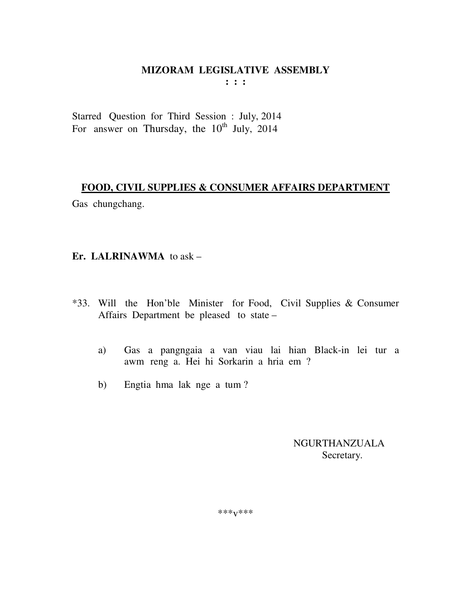# MIZORAM LEGISLATIVE ASSEMBLY

 $: : :$ 

Starred Question for Third Session : July, 2014 For answer on Thursday, the  $10^{th}$  July, 2014

### FOOD, CIVIL SUPPLIES & CONSUMER AFFAIRS DEPARTMENT

Gas chungchang.

## Er. LALRINAWMA to  $ask -$

- \*33. Will the Hon'ble Minister for Food, Civil Supplies & Consumer Affairs Department be pleased to state -
	- Gas a pangngaia a van viau lai hian Black-in lei tur a  $a)$ awm reng a. Hei hi Sorkarin a hria em ?
	- Engtia hma lak nge a tum?  $b)$

# **NGURTHANZUALA** Secretary.

\*\*\* $V$ \*\*\*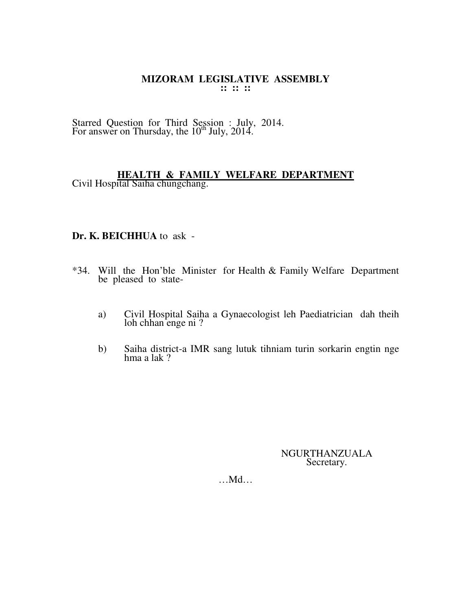Starred Question for Third Session : July, 2014. For answer on Thursday, the  $10^{th}$  July, 2014.

# **HEALTH & FAMILY WELFARE DEPARTMENT**

Civil Hospital Saiha chungchang.

## **Dr. K. BEICHHUA** to ask -

- \*34. Will the Hon'ble Minister for Health & Family Welfare Department be pleased to state
	- a) Civil Hospital Saiha a Gynaecologist leh Paediatrician dah theih loh chhan enge ni ?
	- b) Saiha district-a IMR sang lutuk tihniam turin sorkarin engtin nge hma a lak ?

#### NGURTHANZUALA Secretary.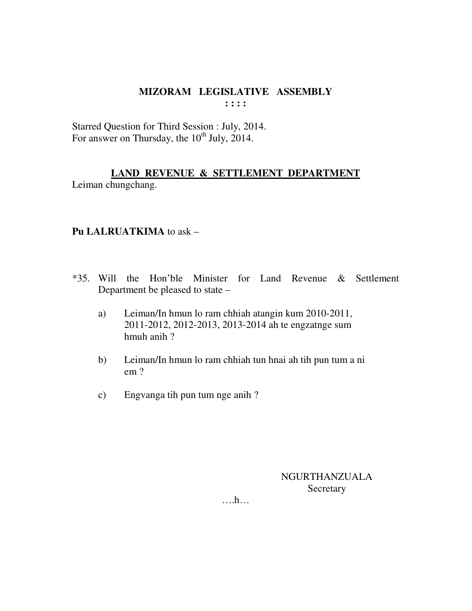Starred Question for Third Session : July, 2014. For answer on Thursday, the  $10^{th}$  July, 2014.

# **LAND REVENUE & SETTLEMENT DEPARTMENT**

Leiman chungchang.

## **Pu LALRUATKIMA** to ask –

- \*35. Will the Hon'ble Minister for Land Revenue & Settlement Department be pleased to state –
	- a) Leiman/In hmun lo ram chhiah atangin kum 2010-2011, 2011-2012, 2012-2013, 2013-2014 ah te engzatnge sum hmuh anih ?
	- b) Leiman/In hmun lo ram chhiah tun hnai ah tih pun tum a ni em ?
	- c) Engvanga tih pun tum nge anih ?

NGURTHANZUALA **Secretary** 

….h…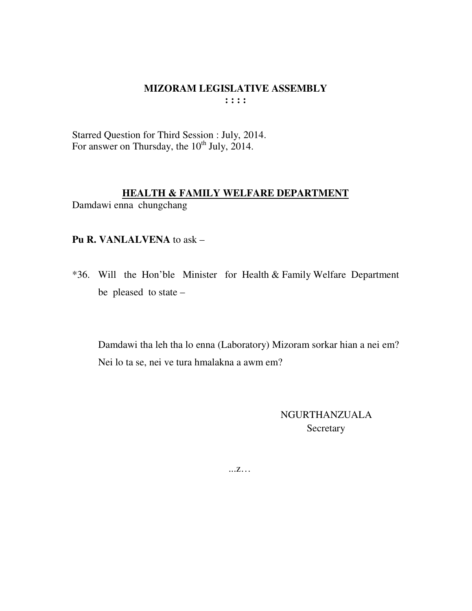Starred Question for Third Session : July, 2014. For answer on Thursday, the  $10^{th}$  July, 2014.

## **HEALTH & FAMILY WELFARE DEPARTMENT** Damdawi enna chungchang

#### **Pu R. VANLALVENA** to ask –

\*36. Will the Hon'ble Minister for Health & Family Welfare Department be pleased to state –

 Damdawi tha leh tha lo enna (Laboratory) Mizoram sorkar hian a nei em? Nei lo ta se, nei ve tura hmalakna a awm em?

> NGURTHANZUALA Secretary

...z…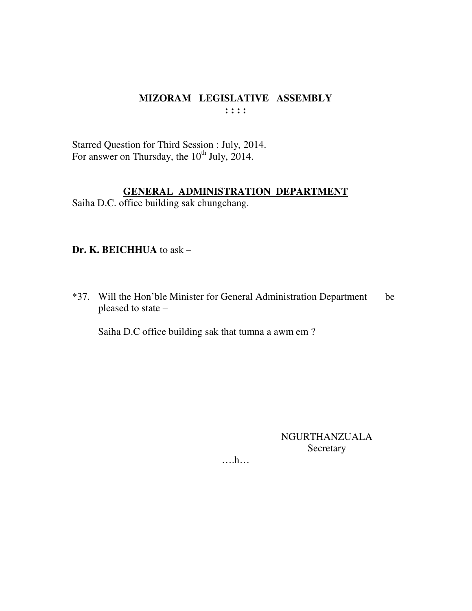Starred Question for Third Session : July, 2014.<br>For answer on Thursday, the 10<sup>th</sup> July, 2014.

### **GENERAL ADMINISTRATION DEPARTMENT**

Saiha D.C. office building sak chungchang.

## Dr. K. BEICHHUA to ask -

\*37. Will the Hon'ble Minister for General Administration Department be pleased to state -

Saiha D.C office building sak that tumna a awm em?

**NGURTHANZUALA** Secretary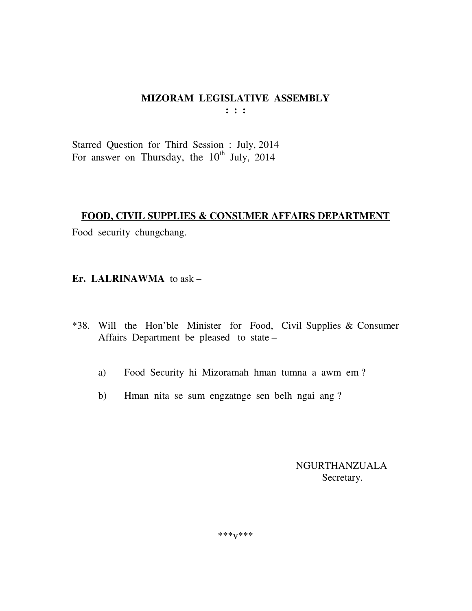# MIZORAM LEGISLATIVE ASSEMBLY

 $: : :$ 

Starred Question for Third Session : July, 2014 For answer on Thursday, the  $10^{th}$  July, 2014

#### **FOOD, CIVIL SUPPLIES & CONSUMER AFFAIRS DEPARTMENT**

Food security chungchang.

## Er. LALRINAWMA to  $ask -$

- \*38. Will the Hon'ble Minister for Food, Civil Supplies & Consumer Affairs Department be pleased to state -
	- Food Security hi Mizoramah hman tumna a awm em? a)
	- Hman nita se sum engzatnge sen belh ngai ang?  $b)$

**NGURTHANZUALA** Secretary.

\*\*\* $V$ \*\*\*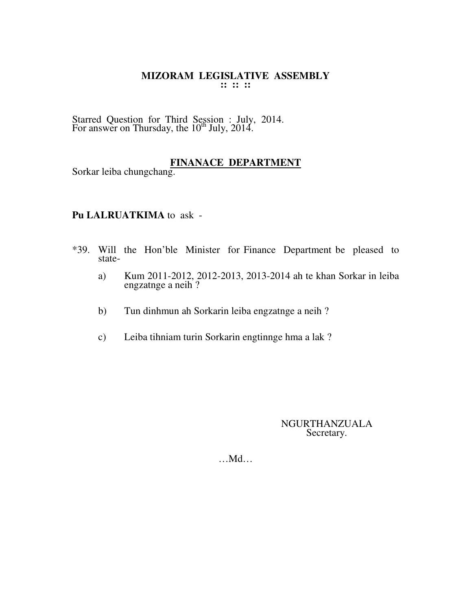Starred Question for Third Session : July, 2014. For answer on Thursday, the  $10^{th}$  July, 2014.

# **FINANACE DEPARTMENT**

Sorkar leiba chungchang.

#### **Pu LALRUATKIMA** to ask -

- \*39. Will the Hon'ble Minister for Finance Department be pleased to state
	- a) Kum 2011-2012, 2012-2013, 2013-2014 ah te khan Sorkar in leiba engzatnge a neih ?
	- $b)$ b) Tun dinhmun ah Sorkarin leiba engzatnge a neih ?
	- c) Leiba tihniam turin Sorkarin engtinnge hma a lak ?

#### NGURTHANZUALA Secretary.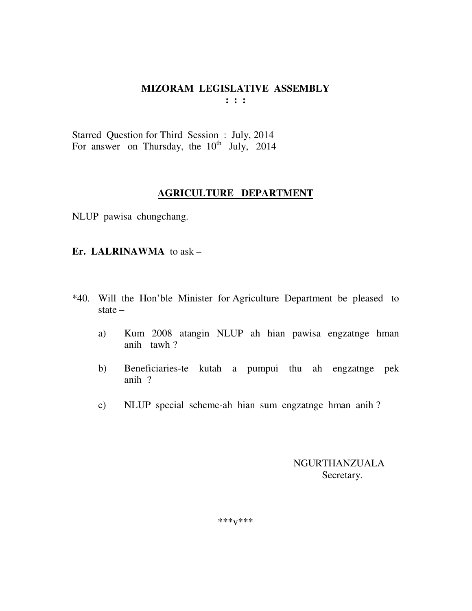Starred Question for Third Session : July, 2014 For answer on Thursday, the 10<sup>th</sup> July, 2014

### **AGRICULTURE DEPARTMENT**

NLUP pawisa chungchang.

### **Er. LALRINAWMA** to ask –

- \*40. Will the Hon'ble Minister for Agriculture Department be pleased to state –
	- a) Kum 2008 atangin NLUP ah hian pawisa engzatnge hman anih tawh ?
	- b) Beneficiaries-te kutah a pumpui thu ah engzatnge pek anih ?
	- c) NLUP special scheme-ah hian sum engzatnge hman anih ?

 NGURTHANZUALA Secretary.

\*\*\*v\*\*\*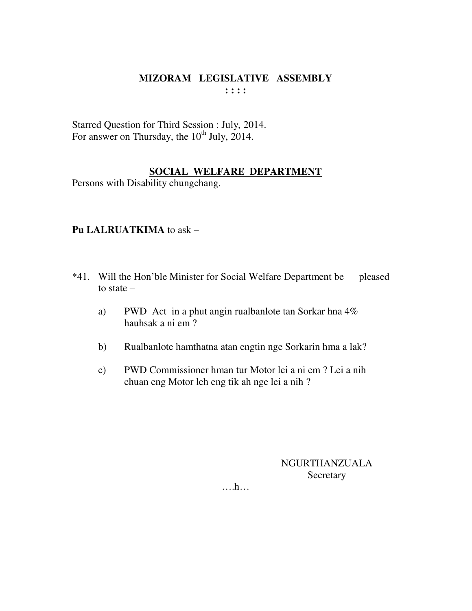Starred Question for Third Session : July, 2014. For answer on Thursday, the  $10^{th}$  July, 2014.

## **SOCIAL WELFARE DEPARTMENT**

Persons with Disability chungchang.

## **Pu LALRUATKIMA** to ask –

- \*41. Will the Hon'ble Minister for Social Welfare Department be pleased to state –
	- a) PWD Act in a phut angin rualbanlote tan Sorkar hna 4% hauhsak a ni em ?
	- b) Rualbanlote hamthatna atan engtin nge Sorkarin hma a lak?
	- c) PWD Commissioner hman tur Motor lei a ni em ? Lei a nih chuan eng Motor leh eng tik ah nge lei a nih ?

NGURTHANZUALA Secretary

….h…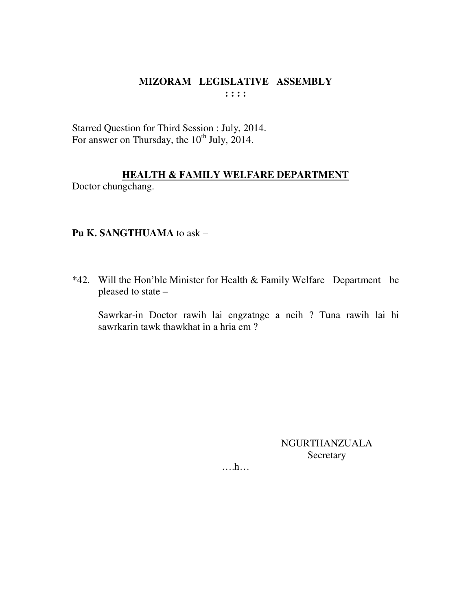Starred Question for Third Session : July, 2014. For answer on Thursday, the 10<sup>th</sup> July, 2014.

# **HEALTH & FAMILY WELFARE DEPARTMENT**

Doctor chungchang.

# Pu K. SANGTHUAMA to ask -

\*42. Will the Hon'ble Minister for Health & Family Welfare Department be pleased to state -

Sawrkar-in Doctor rawih lai engzatnge a neih ? Tuna rawih lai hi sawrkarin tawk thawkhat in a hria em?

> **NGURTHANZUALA** Secretary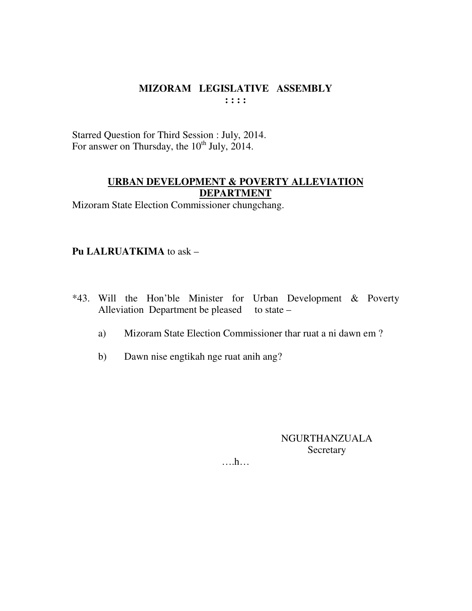Starred Question for Third Session : July, 2014. For answer on Thursday, the 10<sup>th</sup> July, 2014.

# **URBAN DEVELOPMENT & POVERTY ALLEVIATION DEPARTMENT**

Mizoram State Election Commissioner chungchang.

Pu LALRUATKIMA to ask -

- \*43. Will the Hon'ble Minister for Urban Development & Poverty Alleviation Department be pleased to state  $-$ 
	- Mizoram State Election Commissioner thar ruat a ni dawn em? a)
	- $b)$ Dawn nise engtikah nge ruat anih ang?

NGURTHANZUALA Secretary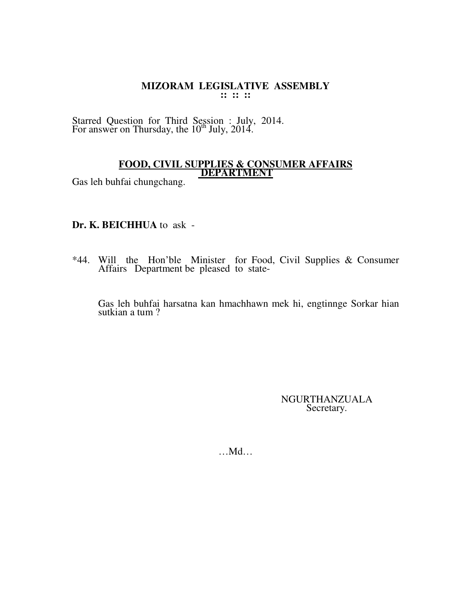Starred Question for Third Session : July, 2014. For answer on Thursday, the  $10^{th}$  July, 2014.

#### **FOOD, CIVIL SUPPLIES & CONSUMER AFFAIRS DEPARTMENT**

Gas leh buhfai chungchang.

#### **Dr. K. BEICHHUA** to ask -

\*44. Will the Hon'ble Minister for Food, Civil Supplies & Consumer Affairs Department be pleased to state-

 Gas leh buhfai harsatna kan hmachhawn mek hi, engtinnge Sorkar hian sutkian a tum ?

> NGURTHANZUALA Secretary.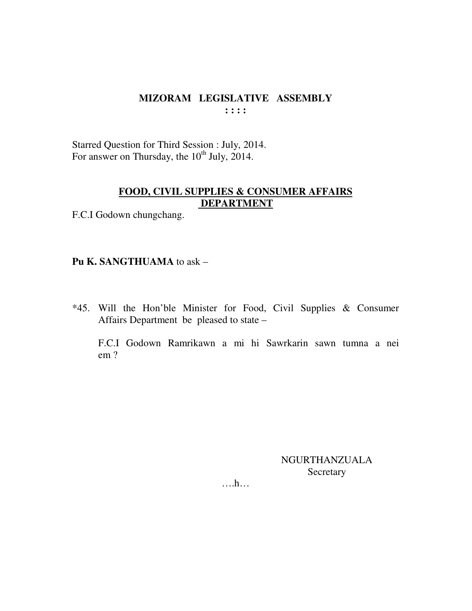Starred Question for Third Session : July, 2014. For answer on Thursday, the  $10^{th}$  July, 2014.

# FOOD, CIVIL SUPPLIES & CONSUMER AFFAIRS **DEPARTMENT**

F.C.I Godown chungchang.

#### Pu K. SANGTHUAMA to ask -

\*45. Will the Hon'ble Minister for Food, Civil Supplies & Consumer Affairs Department be pleased to state -

F.C.I Godown Ramrikawn a mi hi Sawrkarin sawn tumna a nei  $em?$ 

> **NGURTHANZUALA** Secretary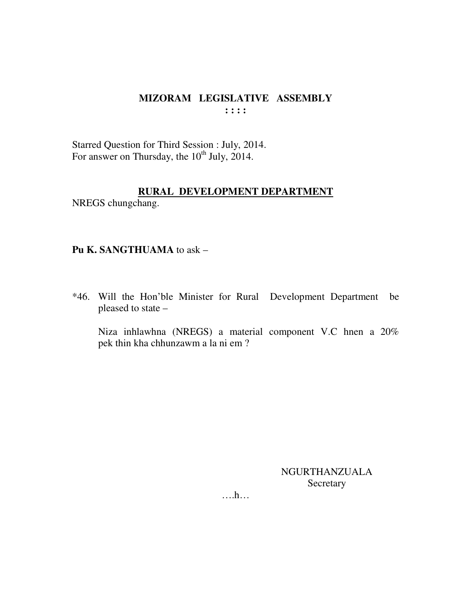Starred Question for Third Session : July, 2014. For answer on Thursday, the 10<sup>th</sup> July, 2014.

### RURAL DEVELOPMENT DEPARTMENT

NREGS chungchang.

#### Pu K. SANGTHUAMA to ask -

\*46. Will the Hon'ble Minister for Rural Development Department be pleased to state -

Niza inhlawhna (NREGS) a material component V.C hnen a 20% pek thin kha chhunzawm a la ni em?

> **NGURTHANZUALA** Secretary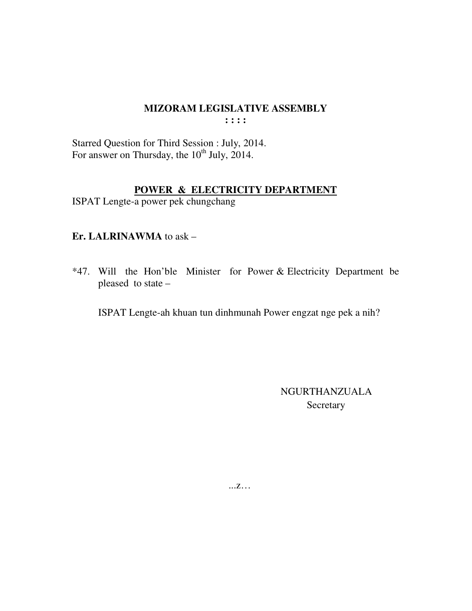# MIZORAM LEGISLATIVE ASSEMBLY

 $: : : :$ 

Starred Question for Third Session : July, 2014.<br>For answer on Thursday, the 10<sup>th</sup> July, 2014.

# POWER & ELECTRICITY DEPARTMENT

ISPAT Lengte-a power pek chungchang

# Er. LALRINAWMA to ask -

\*47. Will the Hon'ble Minister for Power & Electricity Department be pleased to state -

ISPAT Lengte-ah khuan tun dinhmunah Power engzat nge pek a nih?

**NGURTHANZUALA** Secretary

 $...Z...$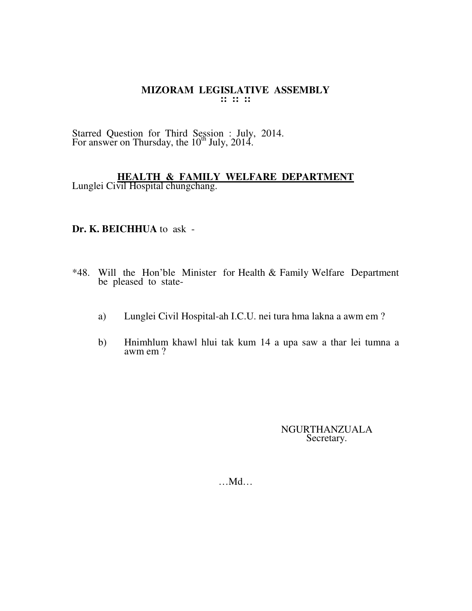Starred Question for Third Session : July, 2014. For answer on Thursday, the  $10^{th}$  July, 2014.

#### **HEALTH & FAMILY WELFARE DEPARTMENT** Lunglei Civil Hospital chungchang.

#### **Dr. K. BEICHHUA** to ask -

- \*48. Will the Hon'ble Minister for Health & Family Welfare Department be pleased to state
	- a) Lunglei Civil Hospital-ah I.C.U. nei tura hma lakna a awm em ?
	- b) Hnimhlum khawl hlui tak kum 14 a upa saw a thar lei tumna a awm em ?

NGURTHANZUALA Secretary.